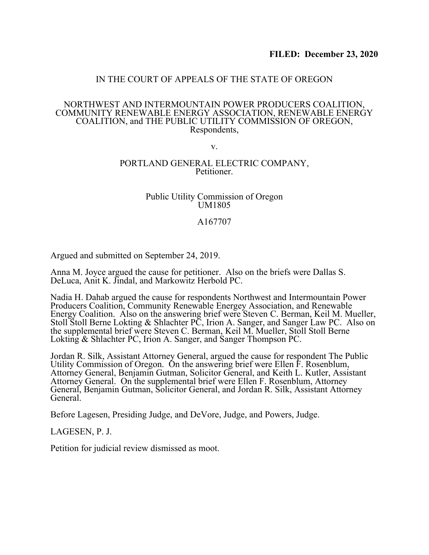## IN THE COURT OF APPEALS OF THE STATE OF OREGON

#### NORTHWEST AND INTERMOUNTAIN POWER PRODUCERS COALITION, COMMUNITY RENEWABLE ENERGY ASSOCIATION, RENEWABLE ENERGY COALITION, and THE PUBLIC UTILITY COMMISSION OF OREGON, Respondents,

v.

### PORTLAND GENERAL ELECTRIC COMPANY, Petitioner.

### Public Utility Commission of Oregon UM1805

## A167707

Argued and submitted on September 24, 2019.

Anna M. Joyce argued the cause for petitioner. Also on the briefs were Dallas S. DeLuca, Anit K. Jindal, and Markowitz Herbold PC.

Nadia H. Dahab argued the cause for respondents Northwest and Intermountain Power Producers Coalition, Community Renewable Energey Association, and Renewable Energy Coalition. Also on the answering brief were Steven C. Berman, Keil M. Mueller, Stoll Stoll Berne Lokting & Shlachter PC, Irion A. Sanger, and Sanger Law PC. Also on the supplemental brief were Steven C. Berman, Keil M. Mueller, Stoll Stoll Berne Lokting & Shlachter PC, Irion A. Sanger, and Sanger Thompson PC.

Jordan R. Silk, Assistant Attorney General, argued the cause for respondent The Public Utility Commission of Oregon. On the answering brief were Ellen F. Rosenblum, Attorney General, Benjamin Gutman, Solicitor General, and Keith L. Kutler, Assistant Attorney General. On the supplemental brief were Ellen F. Rosenblum, Attorney General, Benjamin Gutman, Solicitor General, and Jordan R. Silk, Assistant Attorney General.

Before Lagesen, Presiding Judge, and DeVore, Judge, and Powers, Judge.

LAGESEN, P. J.

Petition for judicial review dismissed as moot.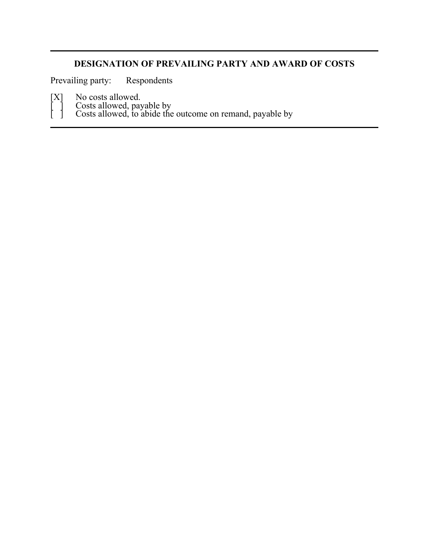# **DESIGNATION OF PREVAILING PARTY AND AWARD OF COSTS**

Prevailing party: Respondents

[X] No costs allowed.

[ ] Costs allowed, payable by

[ ] Costs allowed, to abide the outcome on remand, payable by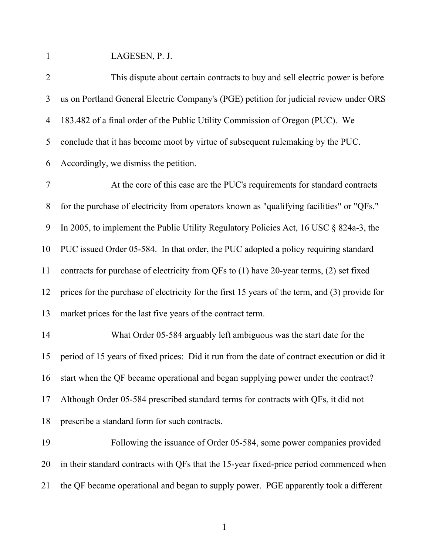LAGESEN, P. J.

| $\overline{2}$ | This dispute about certain contracts to buy and sell electric power is before                  |
|----------------|------------------------------------------------------------------------------------------------|
| 3              | us on Portland General Electric Company's (PGE) petition for judicial review under ORS         |
| 4              | 183.482 of a final order of the Public Utility Commission of Oregon (PUC). We                  |
| 5              | conclude that it has become moot by virtue of subsequent rulemaking by the PUC.                |
| 6              | Accordingly, we dismiss the petition.                                                          |
| 7              | At the core of this case are the PUC's requirements for standard contracts                     |
| 8              | for the purchase of electricity from operators known as "qualifying facilities" or "QFs."      |
| 9              | In 2005, to implement the Public Utility Regulatory Policies Act, 16 USC $\S$ 824a-3, the      |
| 10             | PUC issued Order 05-584. In that order, the PUC adopted a policy requiring standard            |
| 11             | contracts for purchase of electricity from QFs to (1) have 20-year terms, (2) set fixed        |
| 12             | prices for the purchase of electricity for the first 15 years of the term, and (3) provide for |
| 13             | market prices for the last five years of the contract term.                                    |
| 14             | What Order 05-584 arguably left ambiguous was the start date for the                           |
| 15             | period of 15 years of fixed prices: Did it run from the date of contract execution or did it   |
| 16             | start when the QF became operational and began supplying power under the contract?             |
| 17             | Although Order 05-584 prescribed standard terms for contracts with QFs, it did not             |
| 18             | prescribe a standard form for such contracts.                                                  |
| 19             | Following the issuance of Order 05-584, some power companies provided                          |
| 20             | in their standard contracts with QFs that the 15-year fixed-price period commenced when        |
| 21             | the QF became operational and began to supply power. PGE apparently took a different           |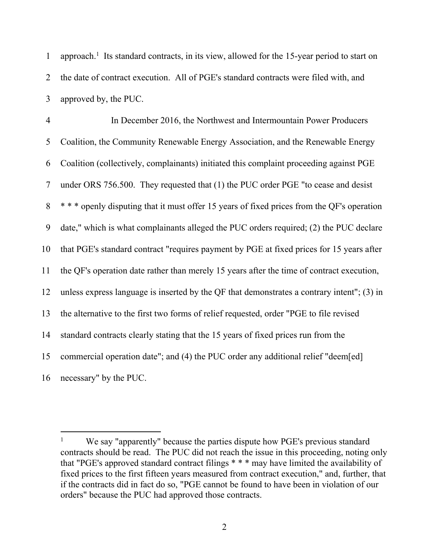1 approach.<sup>1</sup> Its standard contracts, in its view, allowed for the 15-year period to start on the date of contract execution. All of PGE's standard contracts were filed with, and approved by, the PUC.

 In December 2016, the Northwest and Intermountain Power Producers Coalition, the Community Renewable Energy Association, and the Renewable Energy Coalition (collectively, complainants) initiated this complaint proceeding against PGE under ORS 756.500. They requested that (1) the PUC order PGE "to cease and desist \* \* \* openly disputing that it must offer 15 years of fixed prices from the QF's operation date," which is what complainants alleged the PUC orders required; (2) the PUC declare that PGE's standard contract "requires payment by PGE at fixed prices for 15 years after the QF's operation date rather than merely 15 years after the time of contract execution, unless express language is inserted by the QF that demonstrates a contrary intent"; (3) in the alternative to the first two forms of relief requested, order "PGE to file revised standard contracts clearly stating that the 15 years of fixed prices run from the commercial operation date"; and (4) the PUC order any additional relief "deem[ed] necessary" by the PUC.

We say "apparently" because the parties dispute how PGE's previous standard contracts should be read. The PUC did not reach the issue in this proceeding, noting only that "PGE's approved standard contract filings \* \* \* may have limited the availability of fixed prices to the first fifteen years measured from contract execution," and, further, that if the contracts did in fact do so, "PGE cannot be found to have been in violation of our orders" because the PUC had approved those contracts.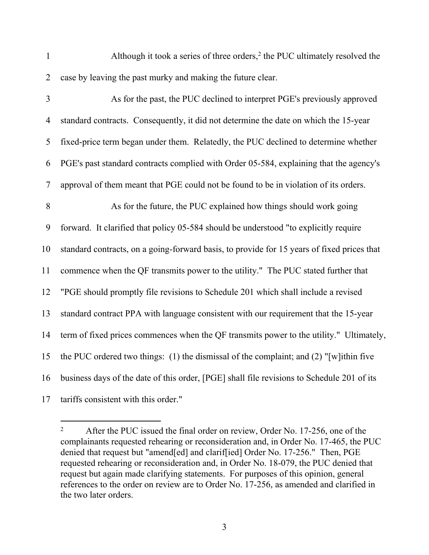1 Although it took a series of three orders,<sup>2</sup> the PUC ultimately resolved the case by leaving the past murky and making the future clear.

| $\overline{3}$ | As for the past, the PUC declined to interpret PGE's previously approved                    |
|----------------|---------------------------------------------------------------------------------------------|
| 4              | standard contracts. Consequently, it did not determine the date on which the 15-year        |
| 5              | fixed-price term began under them. Relatedly, the PUC declined to determine whether         |
| 6              | PGE's past standard contracts complied with Order 05-584, explaining that the agency's      |
| $\overline{7}$ | approval of them meant that PGE could not be found to be in violation of its orders.        |
| 8              | As for the future, the PUC explained how things should work going                           |
| 9              | forward. It clarified that policy 05-584 should be understood "to explicitly require        |
| 10             | standard contracts, on a going-forward basis, to provide for 15 years of fixed prices that  |
| 11             | commence when the QF transmits power to the utility." The PUC stated further that           |
| 12             | "PGE should promptly file revisions to Schedule 201 which shall include a revised           |
| 13             | standard contract PPA with language consistent with our requirement that the 15-year        |
| 14             | term of fixed prices commences when the QF transmits power to the utility." Ultimately,     |
| 15             | the PUC ordered two things: $(1)$ the dismissal of the complaint; and $(2)$ "[w] ithin five |
| 16             | business days of the date of this order, [PGE] shall file revisions to Schedule 201 of its  |
| 17             | tariffs consistent with this order."                                                        |

<sup>&</sup>lt;sup>2</sup> After the PUC issued the final order on review, Order No. 17-256, one of the complainants requested rehearing or reconsideration and, in Order No. 17-465, the PUC denied that request but "amend[ed] and clarif[ied] Order No. 17-256." Then, PGE requested rehearing or reconsideration and, in Order No. 18-079, the PUC denied that request but again made clarifying statements. For purposes of this opinion, general references to the order on review are to Order No. 17-256, as amended and clarified in the two later orders.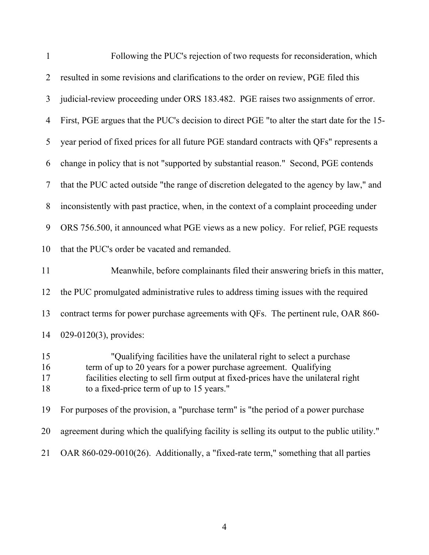| $\mathbf{1}$         | Following the PUC's rejection of two requests for reconsideration, which                                                                                                                                                                                                     |
|----------------------|------------------------------------------------------------------------------------------------------------------------------------------------------------------------------------------------------------------------------------------------------------------------------|
| $\overline{2}$       | resulted in some revisions and clarifications to the order on review, PGE filed this                                                                                                                                                                                         |
| 3                    | judicial-review proceeding under ORS 183.482. PGE raises two assignments of error.                                                                                                                                                                                           |
| $\overline{4}$       | First, PGE argues that the PUC's decision to direct PGE "to alter the start date for the 15-                                                                                                                                                                                 |
| 5                    | year period of fixed prices for all future PGE standard contracts with QFs" represents a                                                                                                                                                                                     |
| 6                    | change in policy that is not "supported by substantial reason." Second, PGE contends                                                                                                                                                                                         |
| 7                    | that the PUC acted outside "the range of discretion delegated to the agency by law," and                                                                                                                                                                                     |
| 8                    | inconsistently with past practice, when, in the context of a complaint proceeding under                                                                                                                                                                                      |
| 9                    | ORS 756.500, it announced what PGE views as a new policy. For relief, PGE requests                                                                                                                                                                                           |
| 10                   | that the PUC's order be vacated and remanded.                                                                                                                                                                                                                                |
| 11                   | Meanwhile, before complainants filed their answering briefs in this matter,                                                                                                                                                                                                  |
| 12                   | the PUC promulgated administrative rules to address timing issues with the required                                                                                                                                                                                          |
| 13                   | contract terms for power purchase agreements with QFs. The pertinent rule, OAR 860-                                                                                                                                                                                          |
| 14                   | $029-0120(3)$ , provides:                                                                                                                                                                                                                                                    |
| 15<br>16<br>17<br>18 | "Qualifying facilities have the unilateral right to select a purchase<br>term of up to 20 years for a power purchase agreement. Qualifying<br>facilities electing to sell firm output at fixed-prices have the unilateral right<br>to a fixed-price term of up to 15 years." |
| 19                   | For purposes of the provision, a "purchase term" is "the period of a power purchase                                                                                                                                                                                          |
| 20                   | agreement during which the qualifying facility is selling its output to the public utility."                                                                                                                                                                                 |
| 21                   | OAR 860-029-0010(26). Additionally, a "fixed-rate term," something that all parties                                                                                                                                                                                          |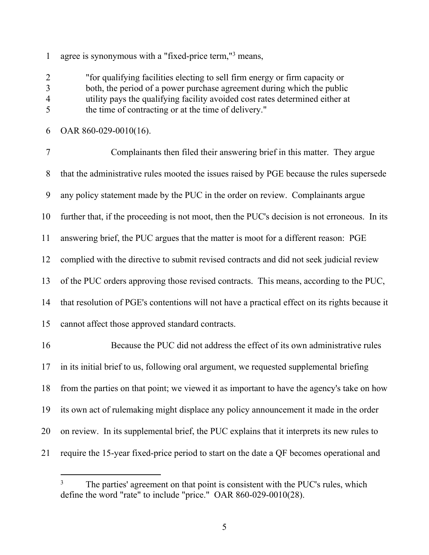agree is synonymous with a "fixed-price term,"<sup>3</sup> means,

 "for qualifying facilities electing to sell firm energy or firm capacity or both, the period of a power purchase agreement during which the public utility pays the qualifying facility avoided cost rates determined either at the time of contracting or at the time of delivery."

OAR 860-029-0010(16).

 Complainants then filed their answering brief in this matter. They argue that the administrative rules mooted the issues raised by PGE because the rules supersede any policy statement made by the PUC in the order on review. Complainants argue further that, if the proceeding is not moot, then the PUC's decision is not erroneous. In its answering brief, the PUC argues that the matter is moot for a different reason: PGE complied with the directive to submit revised contracts and did not seek judicial review of the PUC orders approving those revised contracts. This means, according to the PUC, that resolution of PGE's contentions will not have a practical effect on its rights because it cannot affect those approved standard contracts. Because the PUC did not address the effect of its own administrative rules in its initial brief to us, following oral argument, we requested supplemental briefing from the parties on that point; we viewed it as important to have the agency's take on how its own act of rulemaking might displace any policy announcement it made in the order on review. In its supplemental brief, the PUC explains that it interprets its new rules to require the 15-year fixed-price period to start on the date a QF becomes operational and

<sup>&</sup>lt;sup>3</sup> The parties' agreement on that point is consistent with the PUC's rules, which define the word "rate" to include "price." OAR 860-029-0010(28).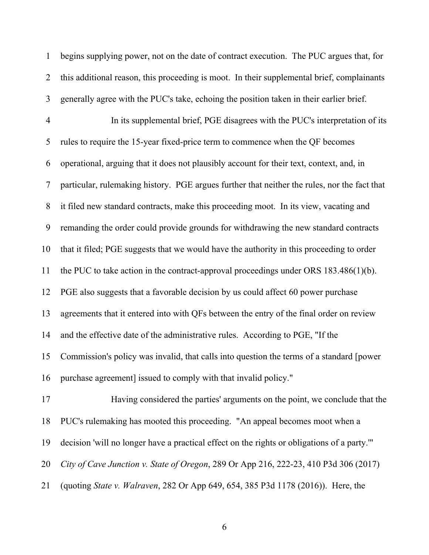begins supplying power, not on the date of contract execution. The PUC argues that, for this additional reason, this proceeding is moot. In their supplemental brief, complainants generally agree with the PUC's take, echoing the position taken in their earlier brief. In its supplemental brief, PGE disagrees with the PUC's interpretation of its rules to require the 15-year fixed-price term to commence when the QF becomes operational, arguing that it does not plausibly account for their text, context, and, in particular, rulemaking history. PGE argues further that neither the rules, nor the fact that it filed new standard contracts, make this proceeding moot. In its view, vacating and remanding the order could provide grounds for withdrawing the new standard contracts that it filed; PGE suggests that we would have the authority in this proceeding to order the PUC to take action in the contract-approval proceedings under ORS 183.486(1)(b). PGE also suggests that a favorable decision by us could affect 60 power purchase agreements that it entered into with QFs between the entry of the final order on review and the effective date of the administrative rules. According to PGE, "If the Commission's policy was invalid, that calls into question the terms of a standard [power purchase agreement] issued to comply with that invalid policy." Having considered the parties' arguments on the point, we conclude that the PUC's rulemaking has mooted this proceeding. "An appeal becomes moot when a decision 'will no longer have a practical effect on the rights or obligations of a party.'" *City of Cave Junction v. State of Oregon*, 289 Or App 216, 222-23, 410 P3d 306 (2017)

(quoting *State v. Walraven*, 282 Or App 649, 654, 385 P3d 1178 (2016)). Here, the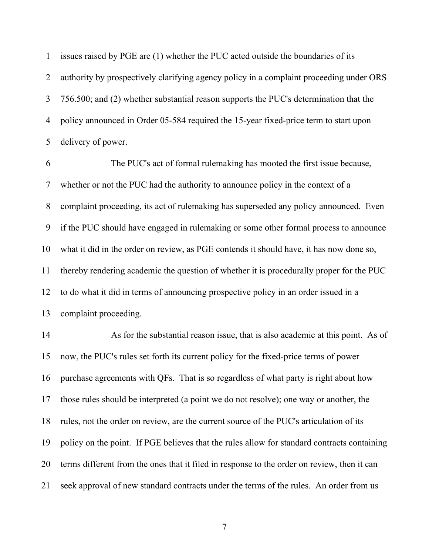issues raised by PGE are (1) whether the PUC acted outside the boundaries of its authority by prospectively clarifying agency policy in a complaint proceeding under ORS 756.500; and (2) whether substantial reason supports the PUC's determination that the policy announced in Order 05-584 required the 15-year fixed-price term to start upon delivery of power.

 The PUC's act of formal rulemaking has mooted the first issue because, whether or not the PUC had the authority to announce policy in the context of a complaint proceeding, its act of rulemaking has superseded any policy announced. Even if the PUC should have engaged in rulemaking or some other formal process to announce what it did in the order on review, as PGE contends it should have, it has now done so, thereby rendering academic the question of whether it is procedurally proper for the PUC to do what it did in terms of announcing prospective policy in an order issued in a complaint proceeding.

 As for the substantial reason issue, that is also academic at this point. As of now, the PUC's rules set forth its current policy for the fixed-price terms of power purchase agreements with QFs. That is so regardless of what party is right about how those rules should be interpreted (a point we do not resolve); one way or another, the rules, not the order on review, are the current source of the PUC's articulation of its policy on the point. If PGE believes that the rules allow for standard contracts containing terms different from the ones that it filed in response to the order on review, then it can seek approval of new standard contracts under the terms of the rules. An order from us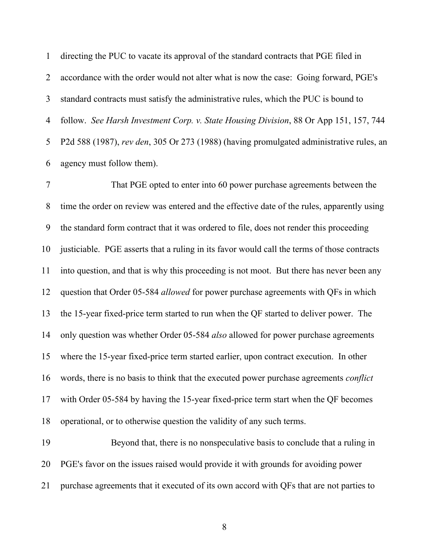directing the PUC to vacate its approval of the standard contracts that PGE filed in accordance with the order would not alter what is now the case: Going forward, PGE's standard contracts must satisfy the administrative rules, which the PUC is bound to follow. *See Harsh Investment Corp. v. State Housing Division*, 88 Or App 151, 157, 744 P2d 588 (1987), *rev den*, 305 Or 273 (1988) (having promulgated administrative rules, an agency must follow them).

 That PGE opted to enter into 60 power purchase agreements between the time the order on review was entered and the effective date of the rules, apparently using the standard form contract that it was ordered to file, does not render this proceeding justiciable. PGE asserts that a ruling in its favor would call the terms of those contracts into question, and that is why this proceeding is not moot. But there has never been any question that Order 05-584 *allowed* for power purchase agreements with QFs in which the 15-year fixed-price term started to run when the QF started to deliver power. The only question was whether Order 05-584 *also* allowed for power purchase agreements where the 15-year fixed-price term started earlier, upon contract execution. In other words, there is no basis to think that the executed power purchase agreements *conflict* with Order 05-584 by having the 15-year fixed-price term start when the QF becomes operational, or to otherwise question the validity of any such terms.

 Beyond that, there is no nonspeculative basis to conclude that a ruling in PGE's favor on the issues raised would provide it with grounds for avoiding power purchase agreements that it executed of its own accord with QFs that are not parties to